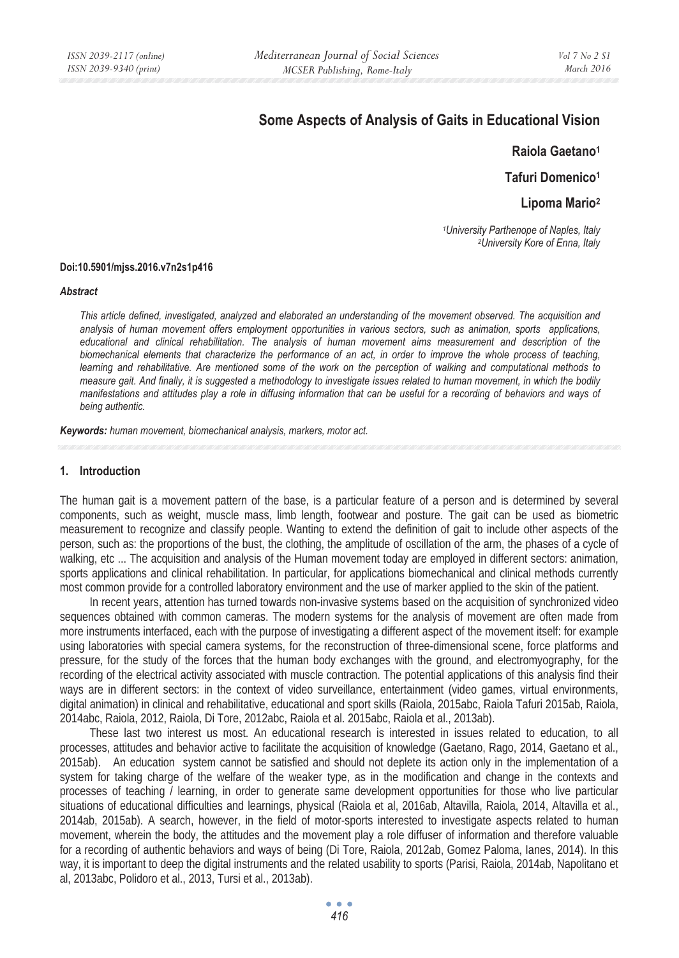# **Some Aspects of Analysis of Gaits in Educational Vision**

**Raiola Gaetano1**

**Tafuri Domenico1**

**Lipoma Mario2** 

*1University Parthenope of Naples, Italy 2University Kore of Enna, Italy* 

#### **Doi:10.5901/mjss.2016.v7n2s1p416**

#### *Abstract*

*This article defined, investigated, analyzed and elaborated an understanding of the movement observed. The acquisition and analysis of human movement offers employment opportunities in various sectors, such as animation, sports applications, educational and clinical rehabilitation. The analysis of human movement aims measurement and description of the biomechanical elements that characterize the performance of an act, in order to improve the whole process of teaching, learning and rehabilitative. Are mentioned some of the work on the perception of walking and computational methods to measure gait. And finally, it is suggested a methodology to investigate issues related to human movement, in which the bodily manifestations and attitudes play a role in diffusing information that can be useful for a recording of behaviors and ways of being authentic.* 

*Keywords: human movement, biomechanical analysis, markers, motor act.*

### **1. Introduction**

The human gait is a movement pattern of the base, is a particular feature of a person and is determined by several components, such as weight, muscle mass, limb length, footwear and posture. The gait can be used as biometric measurement to recognize and classify people. Wanting to extend the definition of gait to include other aspects of the person, such as: the proportions of the bust, the clothing, the amplitude of oscillation of the arm, the phases of a cycle of walking, etc ... The acquisition and analysis of the Human movement today are employed in different sectors: animation, sports applications and clinical rehabilitation. In particular, for applications biomechanical and clinical methods currently most common provide for a controlled laboratory environment and the use of marker applied to the skin of the patient.

In recent years, attention has turned towards non-invasive systems based on the acquisition of synchronized video sequences obtained with common cameras. The modern systems for the analysis of movement are often made from more instruments interfaced, each with the purpose of investigating a different aspect of the movement itself: for example using laboratories with special camera systems, for the reconstruction of three-dimensional scene, force platforms and pressure, for the study of the forces that the human body exchanges with the ground, and electromyography, for the recording of the electrical activity associated with muscle contraction. The potential applications of this analysis find their ways are in different sectors: in the context of video surveillance, entertainment (video games, virtual environments, digital animation) in clinical and rehabilitative, educational and sport skills (Raiola, 2015abc, Raiola Tafuri 2015ab, Raiola, 2014abc, Raiola, 2012, Raiola, Di Tore, 2012abc, Raiola et al. 2015abc, Raiola et al., 2013ab).

These last two interest us most. An educational research is interested in issues related to education, to all processes, attitudes and behavior active to facilitate the acquisition of knowledge (Gaetano, Rago, 2014, Gaetano et al., 2015ab). An education system cannot be satisfied and should not deplete its action only in the implementation of a system for taking charge of the welfare of the weaker type, as in the modification and change in the contexts and processes of teaching / learning, in order to generate same development opportunities for those who live particular situations of educational difficulties and learnings, physical (Raiola et al, 2016ab, Altavilla, Raiola, 2014, Altavilla et al., 2014ab, 2015ab). A search, however, in the field of motor-sports interested to investigate aspects related to human movement, wherein the body, the attitudes and the movement play a role diffuser of information and therefore valuable for a recording of authentic behaviors and ways of being (Di Tore, Raiola, 2012ab, Gomez Paloma, Ianes, 2014). In this way, it is important to deep the digital instruments and the related usability to sports (Parisi, Raiola, 2014ab, Napolitano et al, 2013abc, Polidoro et al., 2013, Tursi et al., 2013ab).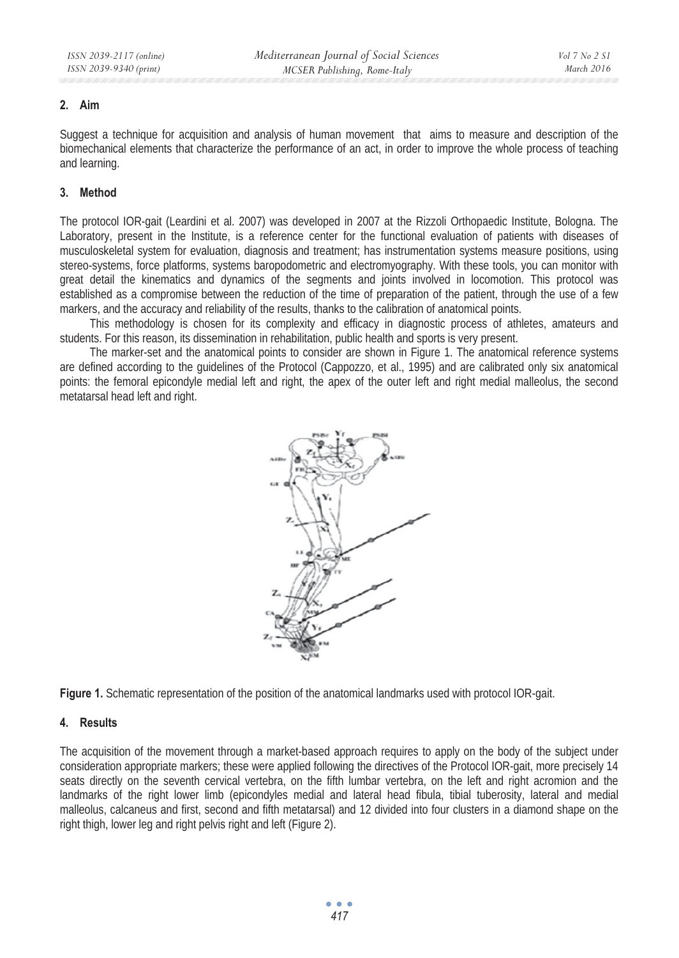## **2. Aim**

Suggest a technique for acquisition and analysis of human movement that aims to measure and description of the biomechanical elements that characterize the performance of an act, in order to improve the whole process of teaching and learning.

## **3. Method**

The protocol IOR-gait (Leardini et al. 2007) was developed in 2007 at the Rizzoli Orthopaedic Institute, Bologna. The Laboratory, present in the Institute, is a reference center for the functional evaluation of patients with diseases of musculoskeletal system for evaluation, diagnosis and treatment; has instrumentation systems measure positions, using stereo-systems, force platforms, systems baropodometric and electromyography. With these tools, you can monitor with great detail the kinematics and dynamics of the segments and joints involved in locomotion. This protocol was established as a compromise between the reduction of the time of preparation of the patient, through the use of a few markers, and the accuracy and reliability of the results, thanks to the calibration of anatomical points.

This methodology is chosen for its complexity and efficacy in diagnostic process of athletes, amateurs and students. For this reason, its dissemination in rehabilitation, public health and sports is very present.

The marker-set and the anatomical points to consider are shown in Figure 1. The anatomical reference systems are defined according to the guidelines of the Protocol (Cappozzo, et al., 1995) and are calibrated only six anatomical points: the femoral epicondyle medial left and right, the apex of the outer left and right medial malleolus, the second metatarsal head left and right.



**Figure 1.** Schematic representation of the position of the anatomical landmarks used with protocol IOR-gait.

## **4. Results**

The acquisition of the movement through a market-based approach requires to apply on the body of the subject under consideration appropriate markers; these were applied following the directives of the Protocol IOR-gait, more precisely 14 seats directly on the seventh cervical vertebra, on the fifth lumbar vertebra, on the left and right acromion and the landmarks of the right lower limb (epicondyles medial and lateral head fibula, tibial tuberosity, lateral and medial malleolus, calcaneus and first, second and fifth metatarsal) and 12 divided into four clusters in a diamond shape on the right thigh, lower leg and right pelvis right and left (Figure 2).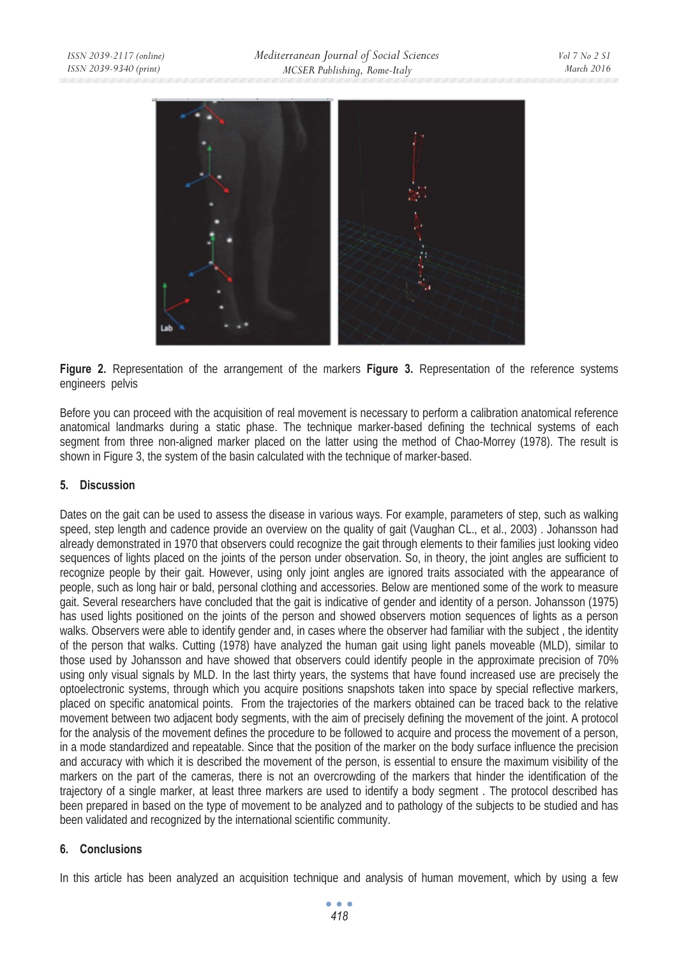

**Figure 2.** Representation of the arrangement of the markers **Figure 3.** Representation of the reference systems engineers pelvis

Before you can proceed with the acquisition of real movement is necessary to perform a calibration anatomical reference anatomical landmarks during a static phase. The technique marker-based defining the technical systems of each segment from three non-aligned marker placed on the latter using the method of Chao-Morrey (1978). The result is shown in Figure 3, the system of the basin calculated with the technique of marker-based.

## **5. Discussion**

Dates on the gait can be used to assess the disease in various ways. For example, parameters of step, such as walking speed, step length and cadence provide an overview on the quality of gait (Vaughan CL., et al., 2003) . Johansson had already demonstrated in 1970 that observers could recognize the gait through elements to their families just looking video sequences of lights placed on the joints of the person under observation. So, in theory, the joint angles are sufficient to recognize people by their gait. However, using only joint angles are ignored traits associated with the appearance of people, such as long hair or bald, personal clothing and accessories. Below are mentioned some of the work to measure gait. Several researchers have concluded that the gait is indicative of gender and identity of a person. Johansson (1975) has used lights positioned on the joints of the person and showed observers motion sequences of lights as a person walks. Observers were able to identify gender and, in cases where the observer had familiar with the subject , the identity of the person that walks. Cutting (1978) have analyzed the human gait using light panels moveable (MLD), similar to those used by Johansson and have showed that observers could identify people in the approximate precision of 70% using only visual signals by MLD. In the last thirty years, the systems that have found increased use are precisely the optoelectronic systems, through which you acquire positions snapshots taken into space by special reflective markers, placed on specific anatomical points. From the trajectories of the markers obtained can be traced back to the relative movement between two adjacent body segments, with the aim of precisely defining the movement of the joint. A protocol for the analysis of the movement defines the procedure to be followed to acquire and process the movement of a person, in a mode standardized and repeatable. Since that the position of the marker on the body surface influence the precision and accuracy with which it is described the movement of the person, is essential to ensure the maximum visibility of the markers on the part of the cameras, there is not an overcrowding of the markers that hinder the identification of the trajectory of a single marker, at least three markers are used to identify a body segment . The protocol described has been prepared in based on the type of movement to be analyzed and to pathology of the subjects to be studied and has been validated and recognized by the international scientific community.

## **6. Conclusions**

In this article has been analyzed an acquisition technique and analysis of human movement, which by using a few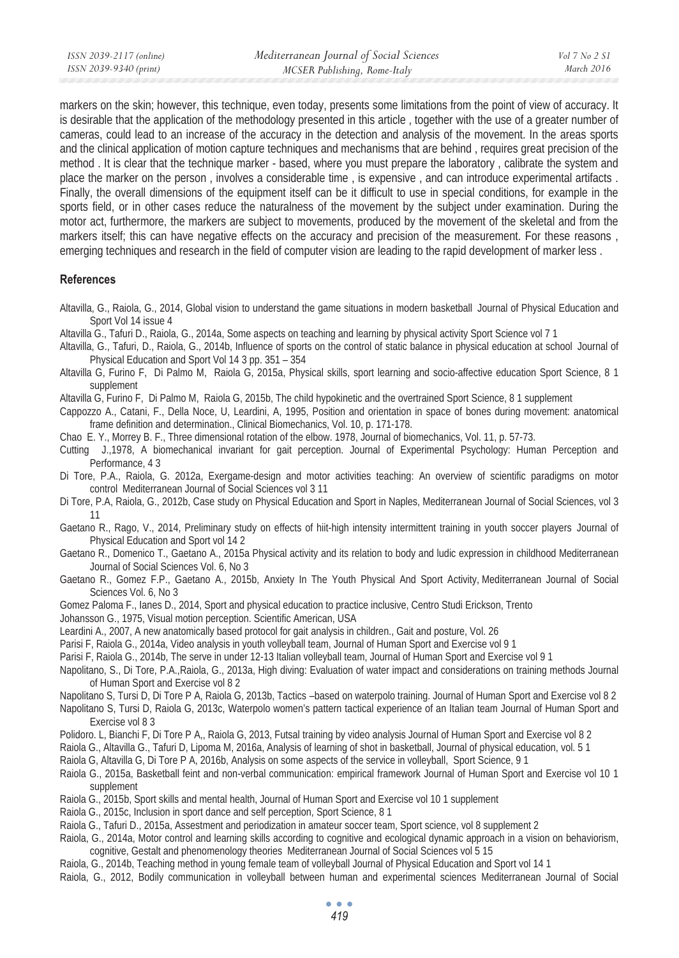markers on the skin; however, this technique, even today, presents some limitations from the point of view of accuracy. It is desirable that the application of the methodology presented in this article , together with the use of a greater number of cameras, could lead to an increase of the accuracy in the detection and analysis of the movement. In the areas sports and the clinical application of motion capture techniques and mechanisms that are behind , requires great precision of the method . It is clear that the technique marker - based, where you must prepare the laboratory , calibrate the system and place the marker on the person , involves a considerable time , is expensive , and can introduce experimental artifacts . Finally, the overall dimensions of the equipment itself can be it difficult to use in special conditions, for example in the sports field, or in other cases reduce the naturalness of the movement by the subject under examination. During the motor act, furthermore, the markers are subject to movements, produced by the movement of the skeletal and from the markers itself; this can have negative effects on the accuracy and precision of the measurement. For these reasons , emerging techniques and research in the field of computer vision are leading to the rapid development of marker less .

### **References**

- Altavilla, G., Raiola, G., 2014, Global vision to understand the game situations in modern basketball Journal of Physical Education and Sport Vol 14 issue 4
- Altavilla G., Tafuri D., Raiola, G., 2014a, Some aspects on teaching and learning by physical activity Sport Science vol 7 1
- Altavilla, G., Tafuri, D., Raiola, G., 2014b, Influence of sports on the control of static balance in physical education at school Journal of Physical Education and Sport Vol 14 3 pp. 351 – 354
- Altavilla G, Furino F, Di Palmo M, Raiola G, 2015a, Physical skills, sport learning and socio-affective education Sport Science, 8 1 supplement
- Altavilla G, Furino F, Di Palmo M, Raiola G, 2015b, The child hypokinetic and the overtrained Sport Science, 8 1 supplement

Cappozzo A., Catani, F., Della Noce, U, Leardini, A, 1995, Position and orientation in space of bones during movement: anatomical frame definition and determination., Clinical Biomechanics, Vol. 10, p. 171-178.

Chao E. Y., Morrey B. F., Three dimensional rotation of the elbow. 1978, Journal of biomechanics, Vol. 11, p. 57-73.

- Cutting J.,1978, A biomechanical invariant for gait perception. Journal of Experimental Psychology: Human Perception and Performance, 4 3
- Di Tore, P.A., Raiola, G. 2012a, Exergame-design and motor activities teaching: An overview of scientific paradigms on motor control Mediterranean Journal of Social Sciences vol 3 11
- Di Tore, P.A, Raiola, G., 2012b, Case study on Physical Education and Sport in Naples, Mediterranean Journal of Social Sciences, vol 3 11
- Gaetano R., Rago, V., 2014, Preliminary study on effects of hiit-high intensity intermittent training in youth soccer players Journal of Physical Education and Sport vol 14 2
- Gaetano R., Domenico T., Gaetano A., 2015a Physical activity and its relation to body and ludic expression in childhood Mediterranean Journal of Social Sciences Vol. 6, No 3
- Gaetano R., Gomez F.P., Gaetano A., 2015b, Anxiety In The Youth Physical And Sport Activity, Mediterranean Journal of Social Sciences Vol. 6, No 3
- Gomez Paloma F., Ianes D., 2014, Sport and physical education to practice inclusive, Centro Studi Erickson, Trento
- Johansson G., 1975, Visual motion perception. Scientific American, USA
- Leardini A., 2007, A new anatomically based protocol for gait analysis in children., Gait and posture, Vol. 26
- Parisi F, Raiola G., 2014a, Video analysis in youth volleyball team, Journal of Human Sport and Exercise vol 9 1
- Parisi F, Raiola G., 2014b, The serve in under 12-13 Italian volleyball team, Journal of Human Sport and Exercise vol 9 1
- Napolitano, S., Di Tore, P.A.,Raiola, G., 2013a, High diving: Evaluation of water impact and considerations on training methods Journal of Human Sport and Exercise vol 8 2
- Napolitano S, Tursi D, Di Tore P A, Raiola G, 2013b, Tactics –based on waterpolo training. Journal of Human Sport and Exercise vol 8 2
- Napolitano S, Tursi D, Raiola G, 2013c, Waterpolo women's pattern tactical experience of an Italian team Journal of Human Sport and Exercise vol 8 3
- Polidoro. L, Bianchi F, Di Tore P A,, Raiola G, 2013, Futsal training by video analysis Journal of Human Sport and Exercise vol 8 2
- Raiola G., Altavilla G., Tafuri D, Lipoma M, 2016a, Analysis of learning of shot in basketball, Journal of physical education, vol. 5 1
- Raiola G, Altavilla G, Di Tore P A, 2016b, Analysis on some aspects of the service in volleyball, Sport Science, 9 1
- Raiola G., 2015a, Basketball feint and non-verbal communication: empirical framework Journal of Human Sport and Exercise vol 10 1 supplement
- Raiola G., 2015b, Sport skills and mental health, Journal of Human Sport and Exercise vol 10 1 supplement
- Raiola G., 2015c, Inclusion in sport dance and self perception, Sport Science, 8 1
- Raiola G., Tafuri D., 2015a, Assestment and periodization in amateur soccer team, Sport science, vol 8 supplement 2
- Raiola, G., 2014a, Motor control and learning skills according to cognitive and ecological dynamic approach in a vision on behaviorism, cognitive, Gestalt and phenomenology theories Mediterranean Journal of Social Sciences vol 5 15
- Raiola, G., 2014b, Teaching method in young female team of volleyball Journal of Physical Education and Sport vol 14 1
- Raiola, G., 2012, Bodily communication in volleyball between human and experimental sciences Mediterranean Journal of Social